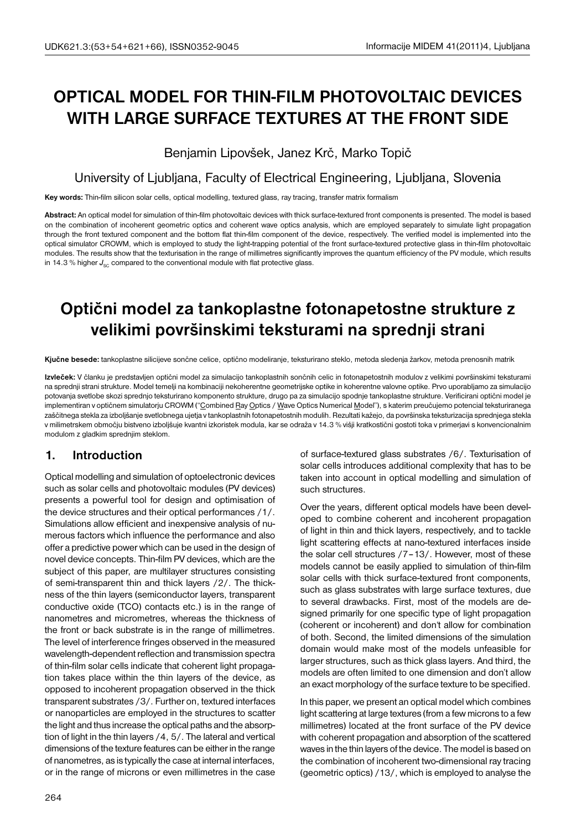# **OPTICAL MODEL FOR THIN-FILM PHOTOVOLTAIC DEVICES WITH LARGE SURFACE TEXTURES AT THE FRONT SIDE**

Benjamin Lipovšek, Janez Krč, Marko Topič

## University of Ljubljana, Faculty of Electrical Engineering, Ljubljana, Slovenia

**Key words:** Thin-film silicon solar cells, optical modelling, textured glass, ray tracing, transfer matrix formalism

**Abstract:** An optical model for simulation of thin-film photovoltaic devices with thick surface-textured front components is presented. The model is based on the combination of incoherent geometric optics and coherent wave optics analysis, which are employed separately to simulate light propagation through the front textured component and the bottom flat thin-film component of the device, respectively. The verified model is implemented into the optical simulator CROWM, which is employed to study the light-trapping potential of the front surface-textured protective glass in thin-film photovoltaic modules. The results show that the texturisation in the range of millimetres significantly improves the quantum efficiency of the PV module, which results in 14.3 % higher  $J_{\rm sc}$  compared to the conventional module with flat protective glass.

## **Optični model za tankoplastne fotonapetostne strukture z velikimi površinskimi teksturami na sprednji strani**

**Kjučne besede:** tankoplastne silicijeve sončne celice, optično modeliranje, teksturirano steklo, metoda sledenja žarkov, metoda prenosnih matrik

**Izvleček:** V članku je predstavljen optični model za simulacijo tankoplastnih sončnih celic in fotonapetostnih modulov z velikimi površinskimi teksturami na sprednji strani strukture. Model temelji na kombinaciji nekoherentne geometrijske optike in koherentne valovne optike. Prvo uporabljamo za simulacijo potovanja svetlobe skozi sprednjo teksturirano komponento strukture, drugo pa za simulacijo spodnje tankoplastne strukture. Verificirani optični model je implementiran v optičnem simulatorju CROWM ("Combined Ray Optics / Wave Optics Numerical Model"), s katerim preučujemo potencial teksturiranega zaščitnega stekla za izboljšanje svetlobnega ujetja v tankoplastnih fotonapetostnih modulih. Rezultati kažejo, da površinska teksturizacija sprednjega stekla v milimetrskem območju bistveno izboljšuje kvantni izkoristek modula, kar se odraža v 14.3 % višji kratkostični gostoti toka v primerjavi s konvencionalnim modulom z gladkim sprednjim steklom.

## **1. Introduction**

Optical modelling and simulation of optoelectronic devices such as solar cells and photovoltaic modules (PV devices) presents a powerful tool for design and optimisation of the device structures and their optical performances /1/. Simulations allow efficient and inexpensive analysis of numerous factors which influence the performance and also offer a predictive power which can be used in the design of novel device concepts. Thin-film PV devices, which are the subject of this paper, are multilayer structures consisting of semi-transparent thin and thick layers /2/. The thickness of the thin layers (semiconductor layers, transparent conductive oxide (TCO) contacts etc.) is in the range of nanometres and micrometres, whereas the thickness of the front or back substrate is in the range of millimetres. The level of interference fringes observed in the measured wavelength-dependent reflection and transmission spectra of thin-film solar cells indicate that coherent light propagation takes place within the thin layers of the device, as opposed to incoherent propagation observed in the thick transparent substrates /3/. Further on, textured interfaces or nanoparticles are employed in the structures to scatter the light and thus increase the optical paths and the absorption of light in the thin layers /4, 5/. The lateral and vertical dimensions of the texture features can be either in the range of nanometres, as is typically the case at internal interfaces, or in the range of microns or even millimetres in the case

of surface-textured glass substrates /6/. Texturisation of solar cells introduces additional complexity that has to be taken into account in optical modelling and simulation of such structures.

Over the years, different optical models have been developed to combine coherent and incoherent propagation of light in thin and thick layers, respectively, and to tackle light scattering effects at nano-textured interfaces inside the solar cell structures /7–13/. However, most of these models cannot be easily applied to simulation of thin-film solar cells with thick surface-textured front components, such as glass substrates with large surface textures, due to several drawbacks. First, most of the models are designed primarily for one specific type of light propagation (coherent or incoherent) and don't allow for combination of both. Second, the limited dimensions of the simulation domain would make most of the models unfeasible for larger structures, such as thick glass layers. And third, the models are often limited to one dimension and don't allow an exact morphology of the surface texture to be specified.

In this paper, we present an optical model which combines light scattering at large textures (from a few microns to a few millimetres) located at the front surface of the PV device with coherent propagation and absorption of the scattered waves in the thin layers of the device. The model is based on the combination of incoherent two-dimensional ray tracing (geometric optics) /13/, which is employed to analyse the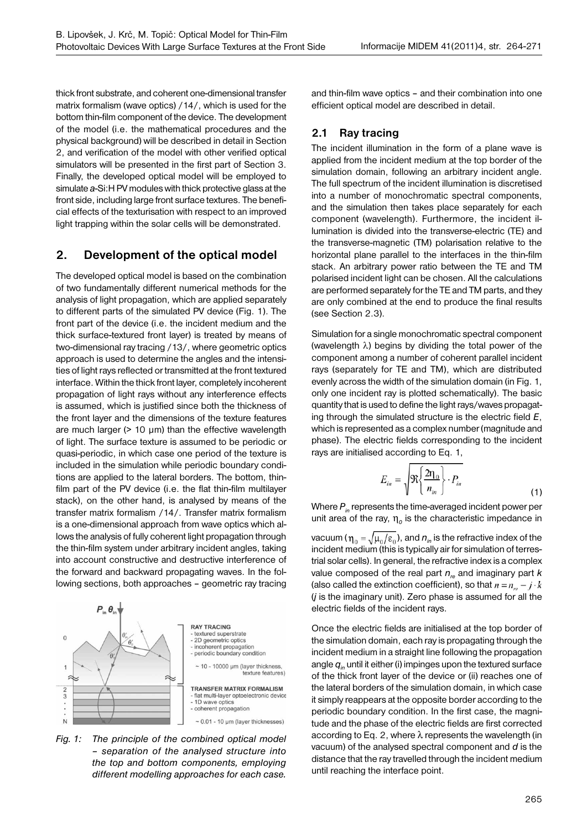thick front substrate, and coherent one-dimensional transfer matrix formalism (wave optics) /14/, which is used for the bottom thin-film component of the device. The development of the model (i.e. the mathematical procedures and the physical background) will be described in detail in Section 2, and verification of the model with other verified optical simulators will be presented in the first part of Section 3. Finally, the developed optical model will be employed to simulate *a*-Si:H PV modules with thick protective glass at the front side, including large front surface textures. The beneficial effects of the texturisation with respect to an improved light trapping within the solar cells will be demonstrated.

## **2. Development of the optical model**

The developed optical model is based on the combination of two fundamentally different numerical methods for the analysis of light propagation, which are applied separately to different parts of the simulated PV device (Fig. 1). The front part of the device (i.e. the incident medium and the thick surface-textured front layer) is treated by means of two-dimensional ray tracing /13/, where geometric optics approach is used to determine the angles and the intensities of light rays reflected or transmitted at the front textured interface. Within the thick front layer, completely incoherent propagation of light rays without any interference effects is assumed, which is justified since both the thickness of the front layer and the dimensions of the texture features are much larger  $(> 10 \mu m)$  than the effective wavelength of light. The surface texture is assumed to be periodic or quasi-periodic, in which case one period of the texture is included in the simulation while periodic boundary conditions are applied to the lateral borders. The bottom, thinfilm part of the PV device (i.e. the flat thin-film multilayer stack), on the other hand, is analysed by means of the transfer matrix formalism /14/. Transfer matrix formalism is a one-dimensional approach from wave optics which allows the analysis of fully coherent light propagation through the thin-film system under arbitrary incident angles, taking into account constructive and destructive interference of the forward and backward propagating waves. In the following sections, both approaches – geometric ray tracing





and thin-film wave optics – and their combination into one efficient optical model are described in detail.

#### **2.1 Ray tracing**

The incident illumination in the form of a plane wave is applied from the incident medium at the top border of the simulation domain, following an arbitrary incident angle. The full spectrum of the incident illumination is discretised into a number of monochromatic spectral components, and the simulation then takes place separately for each component (wavelength). Furthermore, the incident illumination is divided into the transverse-electric (TE) and the transverse-magnetic (TM) polarisation relative to the horizontal plane parallel to the interfaces in the thin-film stack. An arbitrary power ratio between the TE and TM polarised incident light can be chosen. All the calculations are performed separately for the TE and TM parts, and they are only combined at the end to produce the final results (see Section 2.3).

Simulation for a single monochromatic spectral component (wavelength λ) begins by dividing the total power of the component among a number of coherent parallel incident rays (separately for TE and TM), which are distributed evenly across the width of the simulation domain (in Fig. 1, only one incident ray is plotted schematically). The basic quantity that is used to define the light rays/waves propagating through the simulated structure is the electric field *E*, which is represented as a complex number (magnitude and phase). The electric fields corresponding to the incident rays are initialised according to Eq. 1,

$$
E_{in} = \sqrt{\Re\left\{\frac{2n_0}{n_{in}}\right\}} \cdot P_{in}
$$
\n(1)

Where  $P_{in}$  represents the time-averaged incident power per unit area of the ray,  $\eta_0$  is the characteristic impedance in

vacuum ( $\eta_0 = \sqrt{\mu_0/\epsilon_0}$ ), and  $n_{in}$  is the refractive index of the incident medium (this is typically air for simulation of terrestrial solar cells). In general, the refractive index is a complex value composed of the real part  $n_e$  and imaginary part  $k$ (also called the extinction coefficient), so that  $n = n_{\nu} - j \cdot k$ (*j* is the imaginary unit). Zero phase is assumed for all the electric fields of the incident rays.

Once the electric fields are initialised at the top border of the simulation domain, each ray is propagating through the incident medium in a straight line following the propagation angle  $q_{in}$  until it either (i) impinges upon the textured surface of the thick front layer of the device or (ii) reaches one of the lateral borders of the simulation domain, in which case it simply reappears at the opposite border according to the periodic boundary condition. In the first case, the magnitude and the phase of the electric fields are first corrected according to Eq. 2, where  $\lambda$  represents the wavelength (in vacuum) of the analysed spectral component and *d* is the distance that the ray travelled through the incident medium until reaching the interface point.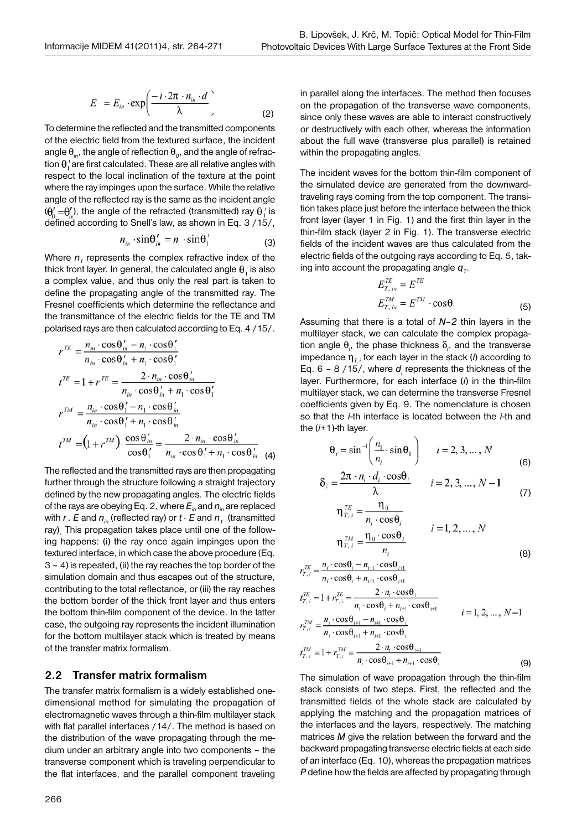$$
E = E_{in} \cdot \exp\left(\frac{-i \cdot 2\pi \cdot n_{in} \cdot d}{\lambda}\right)
$$
 (2)

To determine the reflected and the transmitted components of the electric field from the textured surface, the incident angle  $\theta_{in}$ , the angle of reflection  $\theta_o$ , and the angle of refraction  $\theta_i$  are first calculated. These are all relative angles with respect to the local inclination of the texture at the point where the ray impinges upon the surface. While the relative angle of the reflected ray is the same as the incident angle  $(\theta'_{n} = \theta'_{n})$ , the angle of the refracted (transmitted) ray  $\theta'_{n}$  is defined according to Snell's law, as shown in Eq. 3 /15/,

$$
n_{in} \cdot \sin \theta'_{in} = n_1 \cdot \sin \theta'_1 \tag{3}
$$

Where  $n_1$  represents the complex refractive index of the thick front layer. In general, the calculated angle  $\theta_i$  is also a complex value, and thus only the real part is taken to define the propagating angle of the transmitted ray. The Fresnel coefficients which determine the reflectance and the transmittance of the electric fields for the TE and TM polarised rays are then calculated according to Eq. 4 /15/.

$$
r^{TE} = \frac{n_{in} \cdot \cos \theta_{in} - n_1 \cdot \cos \theta_1'}{n_{in} \cdot \cos \theta_{in} + n_1 \cdot \cos \theta_1'}
$$
  
\n
$$
t^{TE} = 1 + r^{TE} = \frac{2 \cdot n_{in} \cdot \cos \theta_{in}'}{n_{in} \cdot \cos \theta_{in} + n_1 \cdot \cos \theta_1'}
$$
  
\n
$$
r^{TM} = \frac{n_{in} \cdot \cos \theta_1' - n_1 \cdot \cos \theta_{in}'}{n_{in} \cdot \cos \theta_1' + n_1 \cdot \cos \theta_{in}'} = \frac{2 \cdot n_{in} \cdot \cos \theta_{in}'}{\cos \theta_1' + n_1 \cdot \cos \theta_{in}'} = \frac{2 \cdot n_{in} \cdot \cos \theta_{in}'}{\cos \theta_1' + n_1 \cdot \cos \theta_{in}'} \tag{4}
$$

The reflected and the transmitted rays are then propagating further through the structure following a straight trajectory defined by the new propagating angles. The electric fields of the rays are obeying Eq. 2, where *Ein* and *nin* are replaced with  $r$ . E and  $n_{in}$  (reflected ray) or  $t \cdot E$  and  $n_{1}$  (transmitted ray). This propagation takes place until one of the following happens: (i) the ray once again impinges upon the textured interface, in which case the above procedure (Eq. 3 – 4) is repeated, (ii) the ray reaches the top border of the simulation domain and thus escapes out of the structure, contributing to the total reflectance, or (iii) the ray reaches the bottom border of the thick front layer and thus enters the bottom thin-film component of the device. In the latter case, the outgoing ray represents the incident illumination for the bottom multilayer stack which is treated by means of the transfer matrix formalism.

#### **2.2 Transfer matrix formalism**

The transfer matrix formalism is a widely established onedimensional method for simulating the propagation of electromagnetic waves through a thin-film multilayer stack with flat parallel interfaces /14/. The method is based on the distribution of the wave propagating through the medium under an arbitrary angle into two components – the transverse component which is traveling perpendicular to the flat interfaces, and the parallel component traveling

in parallel along the interfaces. The method then focuses on the propagation of the transverse wave components, since only these waves are able to interact constructively or destructively with each other, whereas the information about the full wave (transverse plus parallel) is retained within the propagating angles.

The incident waves for the bottom thin-film component of the simulated device are generated from the downwardtraveling rays coming from the top component. The transition takes place just before the interface between the thick front layer (layer 1 in Fig. 1) and the first thin layer in the thin-film stack (layer 2 in Fig. 1). The transverse electric fields of the incident waves are thus calculated from the electric fields of the outgoing rays according to Eq. 5, taking into account the propagating angle  $q<sub>i</sub>$ .

$$
E_{T, in}^{TE} = E^{TE}
$$
  
\n
$$
E_{T, in}^{TM} = E^{TM} \cdot \cos \theta.
$$
 (5)

Assuming that there is a total of *N–2* thin layers in the multilayer stack, we can calculate the complex propagation angle  $\theta_i$ , the phase thickness  $\delta_i$ , and the transverse impedance  $\eta_{\tau,i}$  for each layer in the stack (*i*) according to Eq.  $6 - 8$  /15/, where  $d_i$  represents the thickness of the layer. Furthermore, for each interface (*i*) in the thin-film multilayer stack, we can determine the transverse Fresnel coefficients given by Eq. 9. The nomenclature is chosen so that the *i*-th interface is located between the *i*-th and the (*i*+1)-th layer.

$$
\theta_i = \sin^{-1}\left(\frac{n_1}{n_i} \cdot \sin \theta_1\right) \qquad i = 2, 3, ..., N
$$
\n(6)

$$
\delta_i = \frac{2\pi \cdot n_i \cdot a_i \cdot \cos \theta_i}{\lambda} \qquad i = 2, 3, ..., N - 1 \tag{7}
$$

$$
\eta_{T,i} = \frac{n_i \cdot \cos \theta_i}{n_i \cdot \cos \theta_i}
$$
\n
$$
i = 1, 2, ..., N
$$
\n
$$
\eta_{T,i}^{TM} = \frac{\eta_0 \cdot \cos \theta_i}{n_i}
$$
\n(8)

$$
r_{T,i}^{TR} = \frac{1}{n_i \cdot \cos \theta_i + n_{i+1} \cdot \cos \theta_{i+1}} \nr_{T,i}^{TR} = 1 + r_{T,i}^{TE} = \frac{2 \cdot n_i \cdot \cos \theta_i}{n_i \cdot \cos \theta_i + n_{i+1} \cdot \cos \theta_{i+1}} \nr_{T,i}^{TM} = \frac{n_i \cdot \cos \theta_{i+1} - n_{i+1} \cdot \cos \theta_i}{n_i \cdot \cos \theta_{i+1} + n_{i+1} \cdot \cos \theta_i} \nr_{T,i}^{TM} = 1 + r_{T,i}^{TM} = \frac{2 \cdot n_i \cdot \cos \theta_{i+1}}{n_i \cdot \cos \theta_{i+1} + n_{i+1} \cdot \cos \theta_i}
$$
\n(9)

 $_{TE}$ 

The simulation of wave propagation through the thin-film stack consists of two steps. First, the reflected and the transmitted fields of the whole stack are calculated by applying the matching and the propagation matrices of the interfaces and the layers, respectively. The matching matrices *M* give the relation between the forward and the backward propagating transverse electric fields at each side of an interface (Eq. 10), whereas the propagation matrices *P* define how the fields are affected by propagating through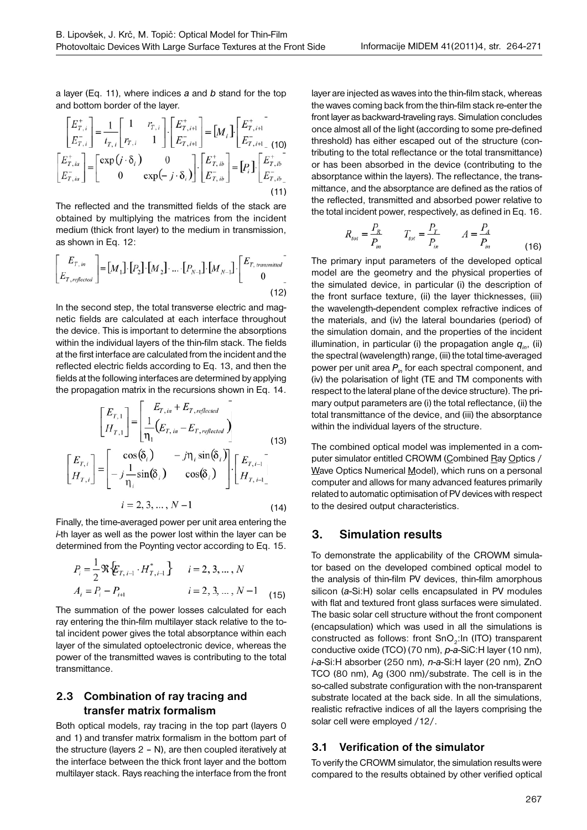a layer (Eq. 11), where indices *a* and *b* stand for the top and bottom border of the layer.

$$
\begin{bmatrix} E_{T,i}^{+} \\ E_{T,i}^{-} \end{bmatrix} = \frac{1}{t_{T,i}} \begin{bmatrix} 1 & r_{T,i} \\ r_{T,i} & 1 \end{bmatrix} \cdot \begin{bmatrix} E_{T,iH}^{+} \\ E_{T,iH}^{-} \end{bmatrix} = [M_{i}] \begin{bmatrix} E_{T,iH}^{+} \\ E_{T,iH-}^{-} \end{bmatrix}
$$
\n
$$
\begin{bmatrix} E_{T,ia}^{+} \\ E_{T,ia}^{-} \end{bmatrix} = \begin{bmatrix} \exp(j \cdot \delta_{i}) & 0 \\ 0 & \exp(-j \cdot \delta_{i}) \end{bmatrix} \cdot \begin{bmatrix} E_{T,iB}^{+} \\ E_{T,iB}^{-} \end{bmatrix} = [P_{i}] \cdot \begin{bmatrix} E_{T,iB}^{+} \\ E_{T,iB}^{-} \end{bmatrix}
$$
\n(11)

The reflected and the transmitted fields of the stack are obtained by multiplying the matrices from the incident medium (thick front layer) to the medium in transmission, as shown in Eq. 12:

$$
\begin{bmatrix} E_{T, in} \\ E_{T, reflected} \end{bmatrix} = [M_1] \cdot [P_2] \cdot [M_2] \cdot \dots \cdot [P_{N-1}] \cdot [M_{N-1}] \cdot \begin{bmatrix} E_{T, transmitted} \\ 0 \end{bmatrix}
$$
\n(12)

In the second step, the total transverse electric and magnetic fields are calculated at each interface throughout the device. This is important to determine the absorptions within the individual layers of the thin-film stack. The fields at the first interface are calculated from the incident and the reflected electric fields according to Eq. 13, and then the fields at the following interfaces are determined by applying the propagation matrix in the recursions shown in Eq. 14.

$$
\begin{bmatrix} E_{T,1} \\ H_{T,1} \end{bmatrix} = \begin{bmatrix} E_{T,in} + E_{T, reflected} \\ \frac{1}{\eta_1} (E_{T,in} - E_{T, reflected}) \\ -j\frac{1}{\eta_i} \sin(\delta_i) & -j\eta_i \sin(\delta_i) \end{bmatrix} \begin{bmatrix} E_{T,i-1} \\ H_{T,i-1} \end{bmatrix}
$$
\n
$$
i = 2, 3, ..., N-1
$$
\n(14)

Finally, the time-averaged power per unit area entering the *i*-th layer as well as the power lost within the layer can be determined from the Poynting vector according to Eq. 15.

$$
P_i = \frac{1}{2} \Re \{E_{T, i-1} \cdot H_{T, i-1}^* \} \qquad i = 2, 3, ..., N
$$
  

$$
A_i = P_i - P_{i+1} \qquad i = 2, 3, ..., N-1 \qquad (15)
$$

The summation of the power losses calculated for each ray entering the thin-film multilayer stack relative to the total incident power gives the total absorptance within each layer of the simulated optoelectronic device, whereas the power of the transmitted waves is contributing to the total transmittance.

## **2.3 Combination of ray tracing and transfer matrix formalism**

Both optical models, ray tracing in the top part (layers 0 and 1) and transfer matrix formalism in the bottom part of the structure (layers 2 – N), are then coupled iteratively at the interface between the thick front layer and the bottom multilayer stack. Rays reaching the interface from the front layer are injected as waves into the thin-film stack, whereas the waves coming back from the thin-film stack re-enter the front layer as backward-traveling rays. Simulation concludes once almost all of the light (according to some pre-defined threshold) has either escaped out of the structure (contributing to the total reflectance or the total transmittance) or has been absorbed in the device (contributing to the absorptance within the layers). The reflectance, the transmittance, and the absorptance are defined as the ratios of the reflected, transmitted and absorbed power relative to the total incident power, respectively, as defined in Eq. 16.

$$
R_{tot} = \frac{P_R}{P_{in}} \qquad T_{tot} = \frac{P_T}{P_{in}} \qquad A = \frac{P_A}{P_{in}} \tag{16}
$$

The primary input parameters of the developed optical model are the geometry and the physical properties of the simulated device, in particular (i) the description of the front surface texture, (ii) the layer thicknesses, (iii) the wavelength-dependent complex refractive indices of the materials, and (iv) the lateral boundaries (period) of the simulation domain, and the properties of the incident illumination, in particular (i) the propagation angle  $q_{in}$ , (ii) the spectral (wavelength) range, (iii) the total time-averaged power per unit area  $P_{in}$  for each spectral component, and (iv) the polarisation of light (TE and TM components with respect to the lateral plane of the device structure). The primary output parameters are (i) the total reflectance, (ii) the total transmittance of the device, and (iii) the absorptance within the individual layers of the structure.

The combined optical model was implemented in a computer simulator entitled CROWM (Combined Ray Optics / Wave Optics Numerical Model), which runs on a personal computer and allows for many advanced features primarily related to automatic optimisation of PV devices with respect to the desired output characteristics.

## **3. Simulation results**

To demonstrate the applicability of the CROWM simulator based on the developed combined optical model to the analysis of thin-film PV devices, thin-film amorphous silicon (*a*-Si:H) solar cells encapsulated in PV modules with flat and textured front glass surfaces were simulated. The basic solar cell structure without the front component (encapsulation) which was used in all the simulations is constructed as follows: front SnO<sub>2</sub>:In (ITO) transparent conductive oxide (TCO) (70 nm), *p*-*a*-SiC:H layer (10 nm), *i*-*a*-Si:H absorber (250 nm), *n*-*a*-Si:H layer (20 nm), ZnO TCO (80 nm), Ag (300 nm)/substrate. The cell is in the so-called substrate configuration with the non-transparent substrate located at the back side. In all the simulations, realistic refractive indices of all the layers comprising the solar cell were employed /12/.

## **3.1 Verification of the simulator**

To verify the CROWM simulator, the simulation results were compared to the results obtained by other verified optical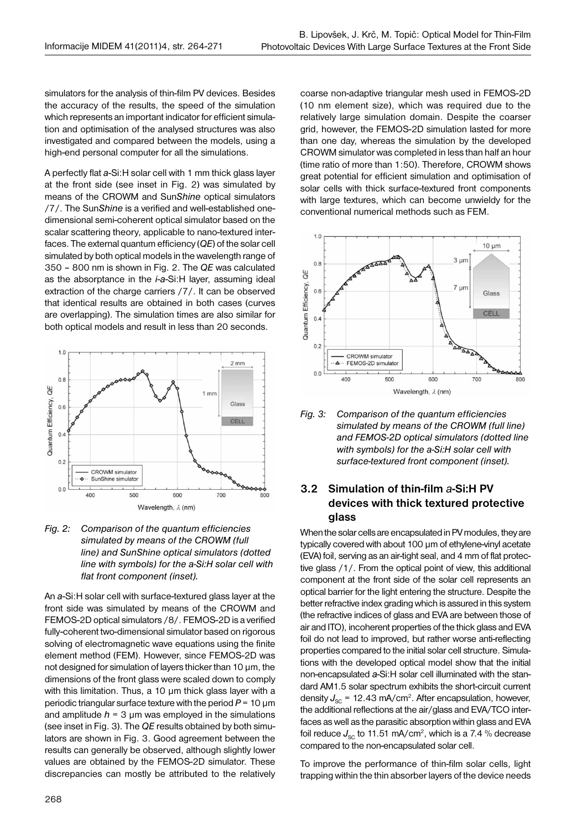simulators for the analysis of thin-film PV devices. Besides the accuracy of the results, the speed of the simulation which represents an important indicator for efficient simulation and optimisation of the analysed structures was also investigated and compared between the models, using a high-end personal computer for all the simulations.

A perfectly flat *a*-Si:H solar cell with 1 mm thick glass layer at the front side (see inset in Fig. 2) was simulated by means of the CROWM and Sun*Shine* optical simulators /7/. The Sun*Shine* is a verified and well-established onedimensional semi-coherent optical simulator based on the scalar scattering theory, applicable to nano-textured interfaces. The external quantum efficiency (*QE*) of the solar cell simulated by both optical models in the wavelength range of 350 – 800 nm is shown in Fig. 2. The *QE* was calculated as the absorptance in the *i*-*a*-Si:H layer, assuming ideal extraction of the charge carriers /7/. It can be observed that identical results are obtained in both cases (curves are overlapping). The simulation times are also similar for both optical models and result in less than 20 seconds.



#### *Fig. 2: Comparison of the quantum efficiencies simulated by means of the CROWM (full line) and SunShine optical simulators (dotted line with symbols) for the a-Si:H solar cell with flat front component (inset).*

An *a*-Si:H solar cell with surface-textured glass layer at the front side was simulated by means of the CROWM and FEMOS-2D optical simulators /8/. FEMOS-2D is a verified fully-coherent two-dimensional simulator based on rigorous solving of electromagnetic wave equations using the finite element method (FEM). However, since FEMOS-2D was not designed for simulation of layers thicker than 10 μm, the dimensions of the front glass were scaled down to comply with this limitation. Thus, a 10 μm thick glass layer with a periodic triangular surface texture with the period *P* = 10 μm and amplitude  $h = 3 \mu m$  was employed in the simulations (see inset in Fig. 3). The *QE* results obtained by both simulators are shown in Fig. 3. Good agreement between the results can generally be observed, although slightly lower values are obtained by the FEMOS-2D simulator. These discrepancies can mostly be attributed to the relatively coarse non-adaptive triangular mesh used in FEMOS-2D (10 nm element size), which was required due to the relatively large simulation domain. Despite the coarser grid, however, the FEMOS-2D simulation lasted for more than one day, whereas the simulation by the developed CROWM simulator was completed in less than half an hour (time ratio of more than 1:50). Therefore, CROWM shows great potential for efficient simulation and optimisation of solar cells with thick surface-textured front components with large textures, which can become unwieldy for the conventional numerical methods such as FEM.



*Fig. 3: Comparison of the quantum efficiencies simulated by means of the CROWM (full line) and FEMOS-2D optical simulators (dotted line with symbols) for the a-Si:H solar cell with surface-textured front component (inset).*

## **3.2 Simulation of thin-film** *a***-Si:H PV devices with thick textured protective glass**

When the solar cells are encapsulated in PV modules, they are typically covered with about 100 µm of ethylene-vinyl acetate (EVA) foil, serving as an air-tight seal, and 4 mm of flat protective glass /1/. From the optical point of view, this additional component at the front side of the solar cell represents an optical barrier for the light entering the structure. Despite the better refractive index grading which is assured in this system (the refractive indices of glass and EVA are between those of air and ITO), incoherent properties of the thick glass and EVA foil do not lead to improved, but rather worse anti-reflecting properties compared to the initial solar cell structure. Simulations with the developed optical model show that the initial non-encapsulated *a*-Si:H solar cell illuminated with the standard AM1.5 solar spectrum exhibits the short-circuit current density  $J_{\rm sc}$  = 12.43 mA/cm<sup>2</sup>. After encapsulation, however, the additional reflections at the air/glass and EVA/TCO interfaces as well as the parasitic absorption within glass and EVA foil reduce  $J_{\rm sc}$  to 11.51 mA/cm<sup>2</sup>, which is a 7.4 % decrease compared to the non-encapsulated solar cell.

To improve the performance of thin-film solar cells, light trapping within the thin absorber layers of the device needs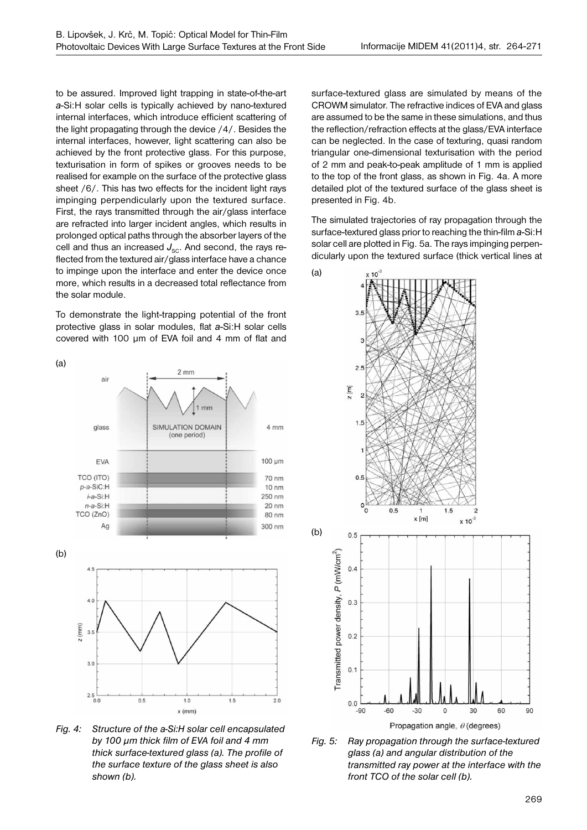to be assured. Improved light trapping in state-of-the-art *a*-Si:H solar cells is typically achieved by nano-textured internal interfaces, which introduce efficient scattering of the light propagating through the device /4/. Besides the internal interfaces, however, light scattering can also be achieved by the front protective glass. For this purpose, texturisation in form of spikes or grooves needs to be realised for example on the surface of the protective glass sheet /6/. This has two effects for the incident light rays impinging perpendicularly upon the textured surface. First, the rays transmitted through the air/glass interface are refracted into larger incident angles, which results in prolonged optical paths through the absorber layers of the cell and thus an increased  $J_{\rm sc}$ . And second, the rays reflected from the textured air/glass interface have a chance to impinge upon the interface and enter the device once more, which results in a decreased total reflectance from the solar module.

To demonstrate the light-trapping potential of the front protective glass in solar modules, flat *a*-Si:H solar cells covered with 100 µm of EVA foil and 4 mm of flat and



*Fig. 4: Structure of the a-Si:H solar cell encapsulated by 100 μm thick film of EVA foil and 4 mm thick surface-textured glass (a). The profile of the surface texture of the glass sheet is also shown (b).*

surface-textured glass are simulated by means of the CROWM simulator. The refractive indices of EVA and glass are assumed to be the same in these simulations, and thus the reflection/refraction effects at the glass/EVA interface can be neglected. In the case of texturing, quasi random triangular one-dimensional texturisation with the period of 2 mm and peak-to-peak amplitude of 1 mm is applied to the top of the front glass, as shown in Fig. 4a. A more detailed plot of the textured surface of the glass sheet is presented in Fig. 4b.

The simulated trajectories of ray propagation through the surface-textured glass prior to reaching the thin-film *a*-Si:H solar cell are plotted in Fig. 5a. The rays impinging perpendicularly upon the textured surface (thick vertical lines at

![](_page_5_Figure_8.jpeg)

*Fig. 5: Ray propagation through the surface-textured glass (a) and angular distribution of the transmitted ray power at the interface with the front TCO of the solar cell (b).*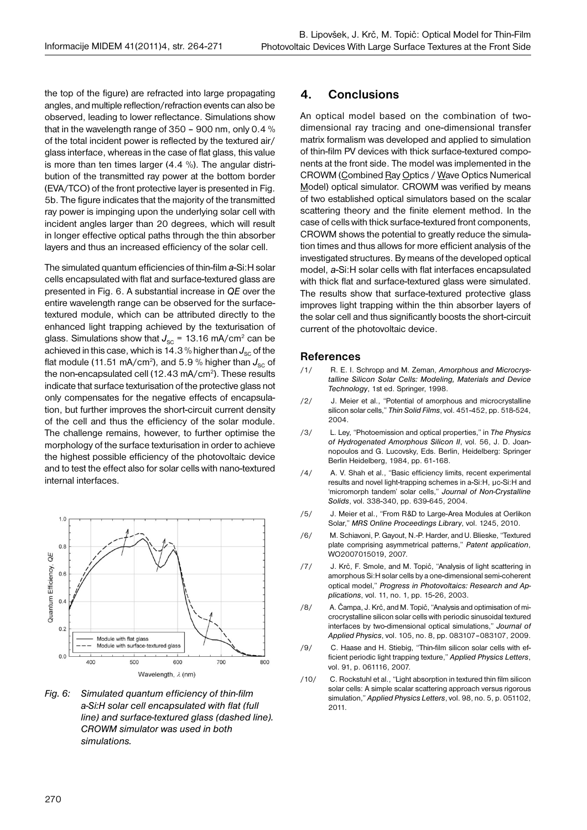the top of the figure) are refracted into large propagating angles, and multiple reflection/refraction events can also be observed, leading to lower reflectance. Simulations show that in the wavelength range of 350 – 900 nm, only 0.4 % of the total incident power is reflected by the textured air/ glass interface, whereas in the case of flat glass, this value is more than ten times larger (4.4 %). The angular distribution of the transmitted ray power at the bottom border (EVA/TCO) of the front protective layer is presented in Fig. 5b. The figure indicates that the majority of the transmitted ray power is impinging upon the underlying solar cell with incident angles larger than 20 degrees, which will result in longer effective optical paths through the thin absorber layers and thus an increased efficiency of the solar cell.

The simulated quantum efficiencies of thin-film *a*-Si:H solar cells encapsulated with flat and surface-textured glass are presented in Fig. 6. A substantial increase in *QE* over the entire wavelength range can be observed for the surfacetextured module, which can be attributed directly to the enhanced light trapping achieved by the texturisation of glass. Simulations show that  $J_{SC}$  = 13.16 mA/cm<sup>2</sup> can be achieved in this case, which is 14.3 % higher than  $J_{\rm sc}$  of the flat module (11.51 mA/cm<sup>2</sup>), and 5.9 % higher than  $J_{\infty}$  of the non-encapsulated cell  $(12.43 \text{ mA/cm}^2)$ . These results indicate that surface texturisation of the protective glass not only compensates for the negative effects of encapsulation, but further improves the short-circuit current density of the cell and thus the efficiency of the solar module. The challenge remains, however, to further optimise the morphology of the surface texturisation in order to achieve the highest possible efficiency of the photovoltaic device and to test the effect also for solar cells with nano-textured internal interfaces.

![](_page_6_Figure_4.jpeg)

*Fig. 6: Simulated quantum efficiency of thin-film a-Si:H solar cell encapsulated with flat (full line) and surface-textured glass (dashed line). CROWM simulator was used in both simulations.*

## **4. Conclusions**

An optical model based on the combination of twodimensional ray tracing and one-dimensional transfer matrix formalism was developed and applied to simulation of thin-film PV devices with thick surface-textured components at the front side. The model was implemented in the CROWM (Combined Ray Optics / Wave Optics Numerical Model) optical simulator. CROWM was verified by means of two established optical simulators based on the scalar scattering theory and the finite element method. In the case of cells with thick surface-textured front components, CROWM shows the potential to greatly reduce the simulation times and thus allows for more efficient analysis of the investigated structures. By means of the developed optical model, *a*-Si:H solar cells with flat interfaces encapsulated with thick flat and surface-textured glass were simulated. The results show that surface-textured protective glass improves light trapping within the thin absorber layers of the solar cell and thus significantly boosts the short-circuit current of the photovoltaic device.

#### **References**

- /1/ R. E. I. Schropp and M. Zeman, *Amorphous and Microcrystalline Silicon Solar Cells: Modeling, Materials and Device Technology*, 1st ed. Springer, 1998.
- /2/ J. Meier et al., "Potential of amorphous and microcrystalline silicon solar cells," *Thin Solid Films*, vol. 451-452, pp. 518-524, 2004.
- /3/ L. Ley, "Photoemission and optical properties," in *The Physics of Hydrogenated Amorphous Silicon II*, vol. 56, J. D. Joannopoulos and G. Lucovsky, Eds. Berlin, Heidelberg: Springer Berlin Heidelberg, 1984, pp. 61-168.
- /4/ A. V. Shah et al., "Basic efficiency limits, recent experimental results and novel light-trapping schemes in a-Si:H, μc-Si:H and 'micromorph tandem' solar cells," *Journal of Non-Crystalline Solids*, vol. 338-340, pp. 639-645, 2004.
- /5/ J. Meier et al., "From R&D to Large-Area Modules at Oerlikon Solar," *MRS Online Proceedings Library*, vol. 1245, 2010.
- /6/ M. Schiavoni, P. Gayout, N.-P. Harder, and U. Blieske, "Textured plate comprising asymmetrical patterns," *Patent application*, WO2007015019, 2007.
- /7/ J. Krč, F. Smole, and M. Topič, "Analysis of light scattering in amorphous Si:H solar cells by a one-dimensional semi-coherent optical model," *Progress in Photovoltaics: Research and Applications*, vol. 11, no. 1, pp. 15-26, 2003.
- /8/ A. Čampa, J. Krč, and M. Topič, "Analysis and optimisation of microcrystalline silicon solar cells with periodic sinusoidal textured interfaces by two-dimensional optical simulations," *Journal of Applied Physics*, vol. 105, no. 8, pp. 083107–083107, 2009.
- /9/ C. Haase and H. Stiebig, "Thin-film silicon solar cells with efficient periodic light trapping texture," *Applied Physics Letters*, vol. 91, p. 061116, 2007.
- /10/ C. Rockstuhl et al., "Light absorption in textured thin film silicon solar cells: A simple scalar scattering approach versus rigorous simulation," *Applied Physics Letters*, vol. 98, no. 5, p. 051102, 2011.